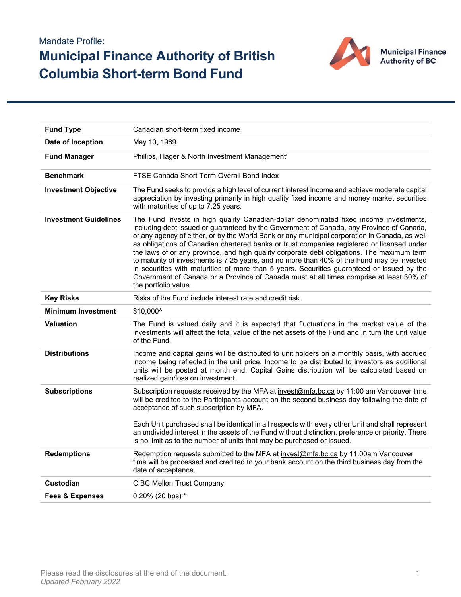## Mandate Profile: **Municipal Finance Authority of British Columbia Short-term Bond Fund**



| <b>Fund Type</b>             | Canadian short-term fixed income                                                                                                                                                                                                                                                                                                                                                                                                                                                                                                                                                                                                                                                                                                                                                               |  |  |  |  |  |
|------------------------------|------------------------------------------------------------------------------------------------------------------------------------------------------------------------------------------------------------------------------------------------------------------------------------------------------------------------------------------------------------------------------------------------------------------------------------------------------------------------------------------------------------------------------------------------------------------------------------------------------------------------------------------------------------------------------------------------------------------------------------------------------------------------------------------------|--|--|--|--|--|
|                              |                                                                                                                                                                                                                                                                                                                                                                                                                                                                                                                                                                                                                                                                                                                                                                                                |  |  |  |  |  |
| Date of Inception            | May 10, 1989                                                                                                                                                                                                                                                                                                                                                                                                                                                                                                                                                                                                                                                                                                                                                                                   |  |  |  |  |  |
| <b>Fund Manager</b>          | Phillips, Hager & North Investment Managementi                                                                                                                                                                                                                                                                                                                                                                                                                                                                                                                                                                                                                                                                                                                                                 |  |  |  |  |  |
| <b>Benchmark</b>             | FTSE Canada Short Term Overall Bond Index                                                                                                                                                                                                                                                                                                                                                                                                                                                                                                                                                                                                                                                                                                                                                      |  |  |  |  |  |
| <b>Investment Objective</b>  | The Fund seeks to provide a high level of current interest income and achieve moderate capital<br>appreciation by investing primarily in high quality fixed income and money market securities<br>with maturities of up to 7.25 years.                                                                                                                                                                                                                                                                                                                                                                                                                                                                                                                                                         |  |  |  |  |  |
| <b>Investment Guidelines</b> | The Fund invests in high quality Canadian-dollar denominated fixed income investments,<br>including debt issued or guaranteed by the Government of Canada, any Province of Canada,<br>or any agency of either, or by the World Bank or any municipal corporation in Canada, as well<br>as obligations of Canadian chartered banks or trust companies registered or licensed under<br>the laws of or any province, and high quality corporate debt obligations. The maximum term<br>to maturity of investments is 7.25 years, and no more than 40% of the Fund may be invested<br>in securities with maturities of more than 5 years. Securities guaranteed or issued by the<br>Government of Canada or a Province of Canada must at all times comprise at least 30% of<br>the portfolio value. |  |  |  |  |  |
| <b>Key Risks</b>             | Risks of the Fund include interest rate and credit risk.                                                                                                                                                                                                                                                                                                                                                                                                                                                                                                                                                                                                                                                                                                                                       |  |  |  |  |  |
| <b>Minimum Investment</b>    | \$10,000^                                                                                                                                                                                                                                                                                                                                                                                                                                                                                                                                                                                                                                                                                                                                                                                      |  |  |  |  |  |
| <b>Valuation</b>             | The Fund is valued daily and it is expected that fluctuations in the market value of the<br>investments will affect the total value of the net assets of the Fund and in turn the unit value<br>of the Fund.                                                                                                                                                                                                                                                                                                                                                                                                                                                                                                                                                                                   |  |  |  |  |  |
| <b>Distributions</b>         | Income and capital gains will be distributed to unit holders on a monthly basis, with accrued<br>income being reflected in the unit price. Income to be distributed to investors as additional<br>units will be posted at month end. Capital Gains distribution will be calculated based on<br>realized gain/loss on investment.                                                                                                                                                                                                                                                                                                                                                                                                                                                               |  |  |  |  |  |
| <b>Subscriptions</b>         | Subscription requests received by the MFA at invest@mfa.bc.ca by 11:00 am Vancouver time<br>will be credited to the Participants account on the second business day following the date of<br>acceptance of such subscription by MFA.                                                                                                                                                                                                                                                                                                                                                                                                                                                                                                                                                           |  |  |  |  |  |
|                              | Each Unit purchased shall be identical in all respects with every other Unit and shall represent<br>an undivided interest in the assets of the Fund without distinction, preference or priority. There<br>is no limit as to the number of units that may be purchased or issued.                                                                                                                                                                                                                                                                                                                                                                                                                                                                                                               |  |  |  |  |  |
| <b>Redemptions</b>           | Redemption requests submitted to the MFA at invest@mfa.bc.ca by 11:00am Vancouver<br>time will be processed and credited to your bank account on the third business day from the<br>date of acceptance.                                                                                                                                                                                                                                                                                                                                                                                                                                                                                                                                                                                        |  |  |  |  |  |
| <b>Custodian</b>             | <b>CIBC Mellon Trust Company</b>                                                                                                                                                                                                                                                                                                                                                                                                                                                                                                                                                                                                                                                                                                                                                               |  |  |  |  |  |
| <b>Fees &amp; Expenses</b>   | $0.20\%$ (20 bps) $*$                                                                                                                                                                                                                                                                                                                                                                                                                                                                                                                                                                                                                                                                                                                                                                          |  |  |  |  |  |